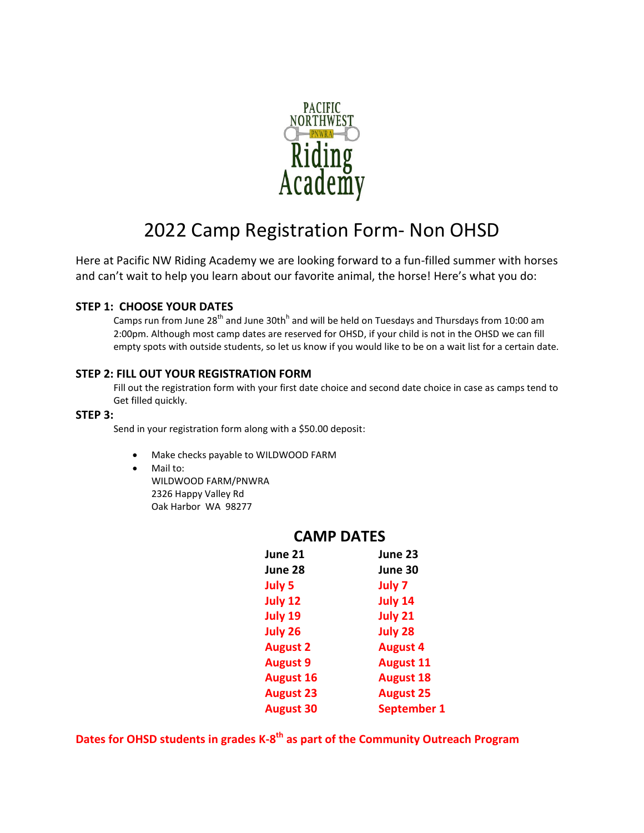

# 2022 Camp Registration Form- Non OHSD

Here at Pacific NW Riding Academy we are looking forward to a fun-filled summer with horses and can't wait to help you learn about our favorite animal, the horse! Here's what you do:

### **STEP 1: CHOOSE YOUR DATES**

Camps run from June 28<sup>th</sup> and June 30th<sup>h</sup> and will be held on Tuesdays and Thursdays from 10:00 am 2:00pm. Although most camp dates are reserved for OHSD, if your child is not in the OHSD we can fill empty spots with outside students, so let us know if you would like to be on a wait list for a certain date.

#### **STEP 2: FILL OUT YOUR REGISTRATION FORM**

Fill out the registration form with your first date choice and second date choice in case as camps tend to Get filled quickly.

#### **STEP 3:**

Send in your registration form along with a \$50.00 deposit:

- Make checks payable to WILDWOOD FARM
- Mail to: WILDWOOD FARM/PNWRA 2326 Happy Valley Rd Oak Harbor WA 98277

| June 21          | June 23            |
|------------------|--------------------|
| June 28          | June 30            |
| July 5           | July 7             |
| July 12          | <b>July 14</b>     |
| July 19          | July 21            |
| July 26          | <b>July 28</b>     |
| <b>August 2</b>  | <b>August 4</b>    |
| <b>August 9</b>  | <b>August 11</b>   |
| <b>August 16</b> | <b>August 18</b>   |
| <b>August 23</b> | <b>August 25</b>   |
| <b>August 30</b> | <b>September 1</b> |
|                  |                    |

## **CAMP DATES**

**Dates for OHSD students in grades K-8 th as part of the Community Outreach Program**